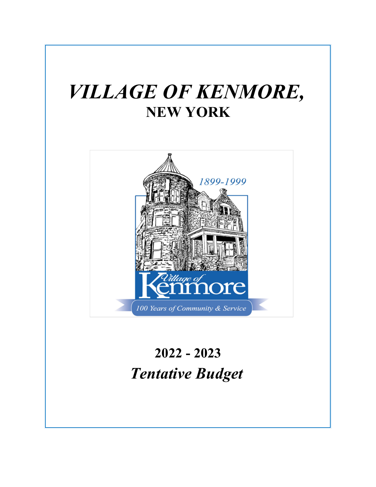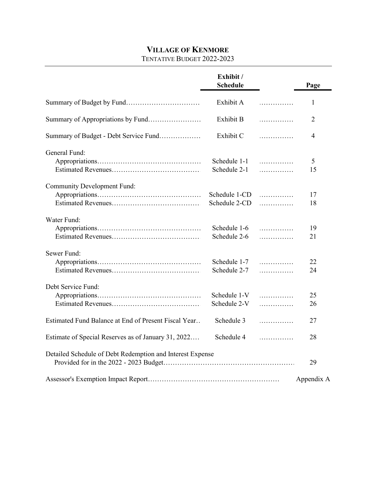# **VILLAGE OF KENMORE**

#### TENTATIVE BUDGET 2022-2023

|                                                           | Exhibit /<br><b>Schedule</b>   |        | Page           |
|-----------------------------------------------------------|--------------------------------|--------|----------------|
|                                                           | Exhibit A                      | .      | $\mathbf{1}$   |
| Summary of Appropriations by Fund                         | Exhibit B                      | .      | $\overline{2}$ |
| Summary of Budget - Debt Service Fund                     | Exhibit C                      | .      | 4              |
| General Fund:                                             | Schedule 1-1<br>Schedule 2-1   | .<br>. | 5<br>15        |
| <b>Community Development Fund:</b>                        | Schedule 1-CD<br>Schedule 2-CD | .<br>. | 17<br>18       |
| Water Fund:                                               | Schedule 1-6<br>Schedule 2-6   | .<br>. | 19<br>21       |
| Sewer Fund:                                               | Schedule 1-7<br>Schedule 2-7   | .<br>. | 22<br>24       |
| Debt Service Fund:                                        | Schedule 1-V<br>Schedule 2-V   | .<br>. | 25<br>26       |
| Estimated Fund Balance at End of Present Fiscal Year      | Schedule 3                     | .      | 27             |
| Estimate of Special Reserves as of January 31, 2022       | Schedule 4                     | .      | 28             |
| Detailed Schedule of Debt Redemption and Interest Expense |                                |        | 29             |
|                                                           |                                |        | Appendix A     |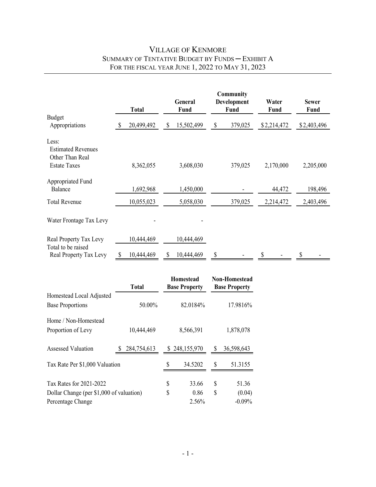# VILLAGE OF KENMORE SUMMARY OF TENTATIVE BUDGET BY FUNDS ─ EXHIBIT A FOR THE FISCAL YEAR JUNE 1, 2022 TO MAY 31, 2023

|                                                                              |    | <b>Total</b> |    | General<br>Fund | Community<br><b>Development</b><br><b>Fund</b> | Water<br>Fund | <b>Sewer</b><br><b>Fund</b> |
|------------------------------------------------------------------------------|----|--------------|----|-----------------|------------------------------------------------|---------------|-----------------------------|
| <b>Budget</b><br>Appropriations                                              | S  | 20,499,492   | \$ | 15,502,499      | \$<br>379,025                                  | \$2,214,472   | \$2,403,496                 |
| Less:<br><b>Estimated Revenues</b><br>Other Than Real<br><b>Estate Taxes</b> |    | 8,362,055    |    | 3,608,030       | 379,025                                        | 2,170,000     | 2,205,000                   |
| Appropriated Fund<br>Balance                                                 |    | 1,692,968    |    | 1,450,000       |                                                | 44,472        | 198,496                     |
| <b>Total Revenue</b>                                                         |    | 10,055,023   |    | 5,058,030       | 379,025                                        | 2,214,472     | 2,403,496                   |
| Water Frontage Tax Levy                                                      |    |              |    |                 |                                                |               |                             |
| Real Property Tax Levy<br>Total to be raised                                 |    | 10,444,469   |    | 10,444,469      |                                                |               |                             |
| Real Property Tax Levy                                                       | \$ | 10,444,469   | S  | 10,444,469      | \$                                             | \$            | \$                          |

|                                          | <b>Total</b> |    | <b>Homestead</b><br><b>Base Property</b> |    | <b>Non-Homestead</b><br><b>Base Property</b> |
|------------------------------------------|--------------|----|------------------------------------------|----|----------------------------------------------|
| Homestead Local Adjusted                 |              |    |                                          |    |                                              |
| <b>Base Proportions</b>                  | 50.00%       |    | 82.0184%                                 |    | 17.9816%                                     |
| Home / Non-Homestead                     |              |    |                                          |    |                                              |
| Proportion of Levy                       | 10,444,469   |    | 8,566,391                                |    | 1,878,078                                    |
| <b>Assessed Valuation</b>                | 284,754,613  |    | \$248,155,970                            | S  | 36,598,643                                   |
| Tax Rate Per \$1,000 Valuation           |              |    | 34.5202                                  | S  | 51.3155                                      |
| Tax Rates for 2021-2022                  |              | S  | 33.66                                    | S  | 51.36                                        |
| Dollar Change (per \$1,000 of valuation) |              | \$ | 0.86                                     | \$ | (0.04)                                       |
| Percentage Change                        |              |    | 2.56%                                    |    | $-0.09%$                                     |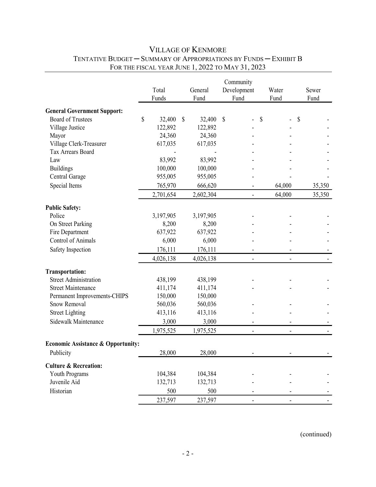# VILLAGE OF KENMORE TENTATIVE BUDGET — SUMMARY OF APPROPRIATIONS BY FUNDS — EXHIBIT B FOR THE FISCAL YEAR JUNE 1, 2022 TO MAY 31, 2023

|                                               |              |              |           | Community      |        |        |
|-----------------------------------------------|--------------|--------------|-----------|----------------|--------|--------|
|                                               | Total        |              | General   | Development    | Water  | Sewer  |
|                                               | Funds        |              | Fund      | Fund           | Fund   | Fund   |
| <b>General Government Support:</b>            |              |              |           |                |        |        |
| <b>Board of Trustees</b>                      | \$<br>32,400 | $\mathbb{S}$ | 32,400    | \$             | \$     | \$     |
| Village Justice                               | 122,892      |              | 122,892   |                |        |        |
| Mayor                                         | 24,360       |              | 24,360    |                |        |        |
| Village Clerk-Treasurer                       | 617,035      |              | 617,035   |                |        |        |
| Tax Arrears Board                             |              |              |           |                |        |        |
| Law                                           | 83,992       |              | 83,992    |                |        |        |
| <b>Buildings</b>                              | 100,000      |              | 100,000   |                |        |        |
| Central Garage                                | 955,005      |              | 955,005   |                |        |        |
| Special Items                                 | 765,970      |              | 666,620   |                | 64,000 | 35,350 |
|                                               | 2,701,654    |              | 2,602,304 |                | 64,000 | 35,350 |
| <b>Public Safety:</b>                         |              |              |           |                |        |        |
| Police                                        | 3,197,905    |              | 3,197,905 |                |        |        |
| On Street Parking                             | 8,200        |              | 8,200     |                |        |        |
| Fire Department                               | 637,922      |              | 637,922   |                |        |        |
| <b>Control of Animals</b>                     | 6,000        |              | 6,000     |                |        |        |
| Safety Inspection                             | 176,111      |              | 176,111   |                |        |        |
|                                               | 4,026,138    |              | 4,026,138 |                |        |        |
| <b>Transportation:</b>                        |              |              |           |                |        |        |
| <b>Street Administration</b>                  | 438,199      |              | 438,199   |                |        |        |
| <b>Street Maintenance</b>                     | 411,174      |              | 411,174   |                |        |        |
| Permanent Improvements-CHIPS                  | 150,000      |              | 150,000   |                |        |        |
| Snow Removal                                  | 560,036      |              | 560,036   |                |        |        |
| <b>Street Lighting</b>                        | 413,116      |              | 413,116   |                |        |        |
| Sidewalk Maintenance                          | 3,000        |              | 3,000     |                |        |        |
|                                               | 1,975,525    |              | 1,975,525 | $\overline{a}$ |        |        |
| <b>Economic Assistance &amp; Opportunity:</b> |              |              |           |                |        |        |
|                                               |              |              |           |                |        |        |
| Publicity                                     | 28,000       |              | 28,000    |                |        |        |
| <b>Culture &amp; Recreation:</b>              |              |              |           |                |        |        |
| Youth Programs                                | 104,384      |              | 104,384   |                |        |        |
| Juvenile Aid                                  | 132,713      |              | 132,713   |                |        |        |
| Historian                                     | 500          |              | 500       |                |        |        |
|                                               | 237,597      |              | 237,597   |                |        |        |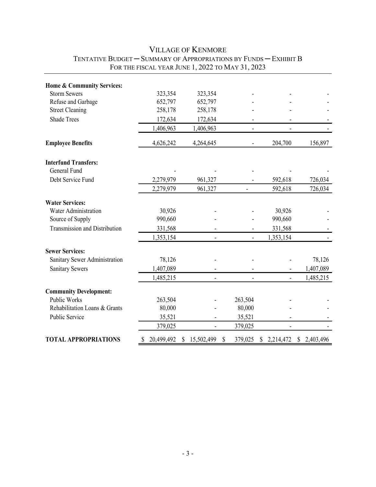| Home & Community Services:           |                  |              |                |               |                 |                 |
|--------------------------------------|------------------|--------------|----------------|---------------|-----------------|-----------------|
| <b>Storm Sewers</b>                  | 323,354          |              | 323,354        |               |                 |                 |
| Refuse and Garbage                   | 652,797          |              | 652,797        |               |                 |                 |
| <b>Street Cleaning</b>               | 258,178          |              | 258,178        |               |                 |                 |
| <b>Shade Trees</b>                   | 172,634          |              | 172,634        |               |                 |                 |
|                                      | 1,406,963        |              | 1,406,963      |               |                 |                 |
| <b>Employee Benefits</b>             | 4,626,242        |              | 4,264,645      |               | 204,700         | 156,897         |
| <b>Interfund Transfers:</b>          |                  |              |                |               |                 |                 |
| General Fund                         |                  |              |                |               |                 |                 |
| Debt Service Fund                    | 2,279,979        |              | 961,327        |               | 592,618         | 726,034         |
|                                      | 2,279,979        |              | 961,327        |               | 592,618         | 726,034         |
| <b>Water Services:</b>               |                  |              |                |               |                 |                 |
| Water Administration                 | 30,926           |              |                |               | 30,926          |                 |
| Source of Supply                     | 990,660          |              |                |               | 990,660         |                 |
| <b>Transmission and Distribution</b> | 331,568          |              |                |               | 331,568         |                 |
|                                      | 1,353,154        |              |                |               | 1,353,154       |                 |
| <b>Sewer Services:</b>               |                  |              |                |               |                 |                 |
| Sanitary Sewer Administration        | 78,126           |              |                |               |                 | 78,126          |
| <b>Sanitary Sewers</b>               | 1,407,089        |              |                |               |                 | 1,407,089       |
|                                      | 1,485,215        |              |                |               |                 | 1,485,215       |
| <b>Community Development:</b>        |                  |              |                |               |                 |                 |
| Public Works                         | 263,504          |              |                | 263,504       |                 |                 |
| Rehabilitation Loans & Grants        | 80,000           |              |                | 80,000        |                 |                 |
| Public Service                       | 35,521           |              |                | 35,521        |                 |                 |
|                                      | 379,025          |              | $\blacksquare$ | 379,025       |                 |                 |
| <b>TOTAL APPROPRIATIONS</b>          | \$<br>20,499,492 | $\mathbb{S}$ | 15,502,499     | \$<br>379,025 | \$<br>2,214,472 | \$<br>2,403,496 |

# VILLAGE OF KENMORE TENTATIVE BUDGET — SUMMARY OF APPROPRIATIONS BY FUNDS — EXHIBIT B FOR THE FISCAL YEAR JUNE 1, 2022 TO MAY 31, 2023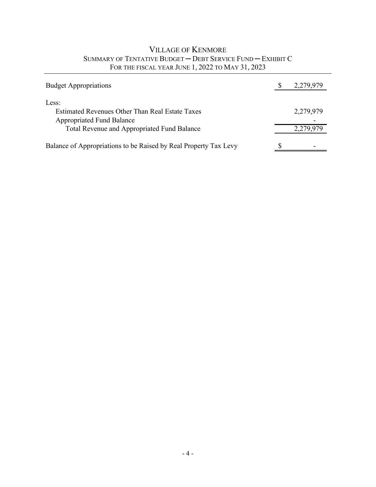# VILLAGE OF KENMORE SUMMARY OF TENTATIVE BUDGET ─ DEBT SERVICE FUND ─ EXHIBIT C FOR THE FISCAL YEAR JUNE 1, 2022 TO MAY 31, 2023

| <b>Budget Appropriations</b>                                                    | 2,279,979 |
|---------------------------------------------------------------------------------|-----------|
| Less:<br>Estimated Revenues Other Than Real Estate Taxes                        | 2,279,979 |
| <b>Appropriated Fund Balance</b><br>Total Revenue and Appropriated Fund Balance | 2,279,979 |
| Balance of Appropriations to be Raised by Real Property Tax Levy                |           |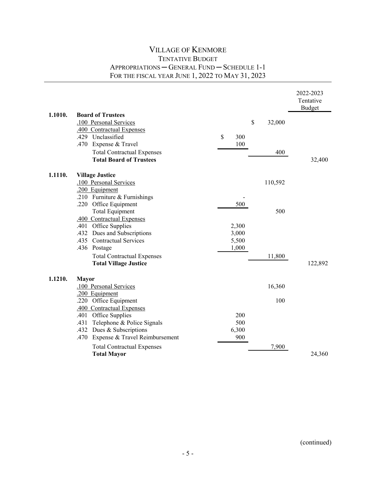|         |                                                          |           |         | 2022-2023<br>Tentative |
|---------|----------------------------------------------------------|-----------|---------|------------------------|
| 1.1010. | <b>Board of Trustees</b>                                 |           |         | <b>Budget</b>          |
|         | .100 Personal Services                                   | \$        | 32,000  |                        |
|         | .400 Contractual Expenses                                |           |         |                        |
|         | .429 Unclassified                                        | \$<br>300 |         |                        |
|         | .470<br>Expense & Travel                                 | 100       |         |                        |
|         | <b>Total Contractual Expenses</b>                        |           | 400     |                        |
|         | <b>Total Board of Trustees</b>                           |           |         | 32,400                 |
| 1.1110. | <b>Village Justice</b>                                   |           |         |                        |
|         | .100 Personal Services                                   |           | 110,592 |                        |
|         | .200 Equipment                                           |           |         |                        |
|         | .210 Furniture & Furnishings                             |           |         |                        |
|         | .220 Office Equipment                                    | 500       |         |                        |
|         | <b>Total Equipment</b>                                   |           | 500     |                        |
|         | .400 Contractual Expenses                                |           |         |                        |
|         | .401 Office Supplies                                     | 2,300     |         |                        |
|         | .432 Dues and Subscriptions<br>.435 Contractual Services | 3,000     |         |                        |
|         |                                                          | 5,500     |         |                        |
|         | .436 Postage                                             | 1,000     |         |                        |
|         | <b>Total Contractual Expenses</b>                        |           | 11,800  |                        |
|         | <b>Total Village Justice</b>                             |           |         | 122,892                |
| 1.1210. | <b>Mayor</b>                                             |           |         |                        |
|         | .100 Personal Services                                   |           | 16,360  |                        |
|         | .200 Equipment                                           |           |         |                        |
|         | .220 Office Equipment                                    |           | 100     |                        |
|         | .400 Contractual Expenses                                |           |         |                        |
|         | .401 Office Supplies                                     | 200       |         |                        |
|         | Telephone & Police Signals<br>.431                       | 500       |         |                        |
|         | .432 Dues & Subscriptions                                | 6,300     |         |                        |
|         | Expense & Travel Reimbursement<br>.470                   | 900       |         |                        |
|         | <b>Total Contractual Expenses</b>                        |           | 7,900   |                        |
|         | <b>Total Mayor</b>                                       |           |         | 24,360                 |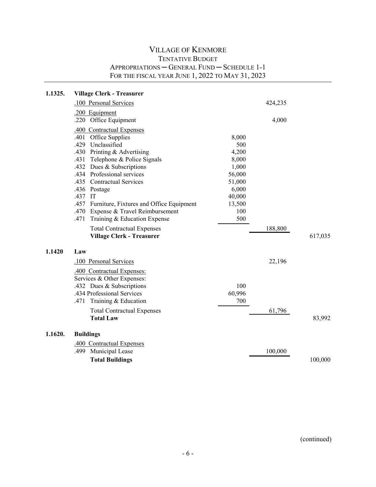| 1.1325. | <b>Village Clerk - Treasurer</b>                 |            |         |         |
|---------|--------------------------------------------------|------------|---------|---------|
|         | .100 Personal Services                           |            | 424,235 |         |
|         | .200 Equipment                                   |            |         |         |
|         | .220 Office Equipment                            |            | 4,000   |         |
|         | .400 Contractual Expenses                        |            |         |         |
|         | Office Supplies<br>.401                          | 8,000      |         |         |
|         | .429<br>Unclassified                             | 500        |         |         |
|         | Printing & Advertising<br>.430                   | 4,200      |         |         |
|         | Telephone & Police Signals<br>.431               | 8,000      |         |         |
|         | .432<br>Dues & Subscriptions                     | 1,000      |         |         |
|         | Professional services<br>.434                    | 56,000     |         |         |
|         | <b>Contractual Services</b><br>.435              | 51,000     |         |         |
|         | .436 Postage                                     | 6,000      |         |         |
|         | .437 IT                                          | 40,000     |         |         |
|         | .457<br>Furniture, Fixtures and Office Equipment | 13,500     |         |         |
|         | Expense & Travel Reimbursement<br>.470           | 100<br>500 |         |         |
|         | .471<br>Training & Education Expense             |            |         |         |
|         | <b>Total Contractual Expenses</b>                |            | 188,800 |         |
|         | <b>Village Clerk - Treasurer</b>                 |            |         | 617,035 |
| 1.1420  | Law                                              |            |         |         |
|         | .100 Personal Services                           |            | 22,196  |         |
|         | .400 Contractual Expenses:                       |            |         |         |
|         | Services & Other Expenses:                       |            |         |         |
|         | .432 Dues & Subscriptions                        | 100        |         |         |
|         | .434 Professional Services                       | 60,996     |         |         |
|         | .471 Training & Education                        | 700        |         |         |
|         | <b>Total Contractual Expenses</b>                |            | 61,796  |         |
|         | <b>Total Law</b>                                 |            |         | 83,992  |
| 1.1620. | <b>Buildings</b>                                 |            |         |         |
|         | .400 Contractual Expenses                        |            |         |         |
|         | Municipal Lease<br>.499                          |            | 100,000 |         |
|         | <b>Total Buildings</b>                           |            |         | 100,000 |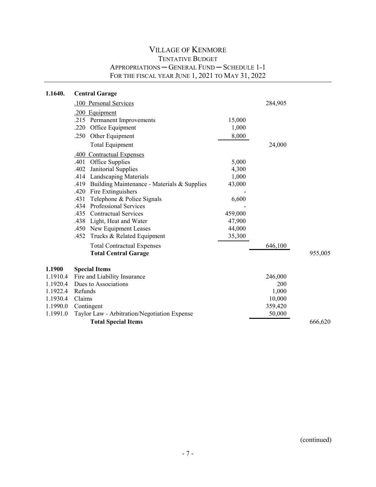| 1.1640.  | <b>Central Garage</b>                               |         |         |         |
|----------|-----------------------------------------------------|---------|---------|---------|
|          | .100 Personal Services                              |         | 284,905 |         |
|          | .200 Equipment                                      |         |         |         |
|          | .215 Permanent Improvements                         | 15,000  |         |         |
|          | .220 Office Equipment                               | 1,000   |         |         |
|          | .250<br>Other Equipment                             | 8,000   |         |         |
|          | <b>Total Equipment</b>                              |         | 24,000  |         |
|          | .400 Contractual Expenses                           |         |         |         |
|          | Office Supplies<br>.401                             | 5,000   |         |         |
|          | .402<br>Janitorial Supplies                         | 4,300   |         |         |
|          | .414 Landscaping Materials                          | 1,000   |         |         |
|          | Building Maintenance - Materials & Supplies<br>.419 | 43,000  |         |         |
|          | .420 Fire Extinguishers                             |         |         |         |
|          | Telephone & Police Signals<br>.431                  | 6,600   |         |         |
|          | Professional Services<br>.434                       |         |         |         |
|          | .435 Contractual Services                           | 459,000 |         |         |
|          | .438 Light, Heat and Water                          | 47,900  |         |         |
|          | .450 New Equipment Leases                           | 44,000  |         |         |
|          | Trucks & Related Equipment<br>.452                  | 35,300  |         |         |
|          | <b>Total Contractual Expenses</b>                   |         | 646,100 |         |
|          | <b>Total Central Garage</b>                         |         |         | 955,005 |
| 1.1900   | <b>Special Items</b>                                |         |         |         |
| 1.1910.4 | Fire and Liability Insurance                        |         | 246,000 |         |
| 1.1920.4 | Dues to Associations                                |         | 200     |         |
| 1.1922.4 | Refunds                                             |         | 1,000   |         |
| 1.1930.4 | Claims                                              |         | 10,000  |         |
| 1.1990.0 | Contingent                                          |         | 359,420 |         |
| 1.1991.0 | Taylor Law - Arbitration/Negotiation Expense        |         | 50,000  |         |
|          | <b>Total Special Items</b>                          |         |         | 666,620 |
|          |                                                     |         |         |         |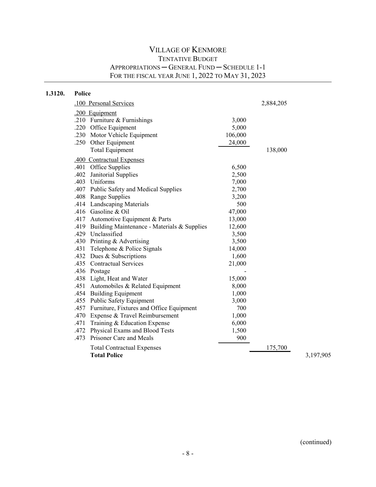| 1.3120. | Police |                                               |         |           |           |
|---------|--------|-----------------------------------------------|---------|-----------|-----------|
|         |        | .100 Personal Services                        |         | 2,884,205 |           |
|         |        | .200 Equipment                                |         |           |           |
|         |        | .210 Furniture & Furnishings                  | 3,000   |           |           |
|         |        | .220 Office Equipment                         | 5,000   |           |           |
|         |        | .230 Motor Vehicle Equipment                  | 106,000 |           |           |
|         |        | .250 Other Equipment                          | 24,000  |           |           |
|         |        | <b>Total Equipment</b>                        |         | 138,000   |           |
|         |        | .400 Contractual Expenses                     |         |           |           |
|         |        | .401 Office Supplies                          | 6,500   |           |           |
|         |        | .402 Janitorial Supplies                      | 2,500   |           |           |
|         |        | .403 Uniforms                                 | 7,000   |           |           |
|         |        | .407 Public Safety and Medical Supplies       | 2,700   |           |           |
|         |        | .408 Range Supplies                           | 3,200   |           |           |
|         |        | .414 Landscaping Materials                    | 500     |           |           |
|         |        | .416 Gasoline & Oil                           | 47,000  |           |           |
|         |        | .417 Automotive Equipment & Parts             | 13,000  |           |           |
|         | .419   | Building Maintenance - Materials & Supplies   | 12,600  |           |           |
|         |        | .429 Unclassified                             | 3,500   |           |           |
|         |        | .430 Printing & Advertising                   | 3,500   |           |           |
|         |        | .431 Telephone & Police Signals               | 14,000  |           |           |
|         |        | .432 Dues & Subscriptions                     | 1,600   |           |           |
|         |        | .435 Contractual Services                     | 21,000  |           |           |
|         |        | .436 Postage                                  |         |           |           |
|         |        | .438 Light, Heat and Water                    | 15,000  |           |           |
|         |        | .451 Automobiles & Related Equipment          | 8,000   |           |           |
|         |        | .454 Building Equipment                       | 1,000   |           |           |
|         |        | .455 Public Safety Equipment                  | 3,000   |           |           |
|         |        | .457 Furniture, Fixtures and Office Equipment | 700     |           |           |
|         |        | .470 Expense & Travel Reimbursement           | 1,000   |           |           |
|         | .471   | Training & Education Expense                  | 6,000   |           |           |
|         |        | .472 Physical Exams and Blood Tests           | 1,500   |           |           |
|         | .473   | Prisoner Care and Meals                       | 900     |           |           |
|         |        | <b>Total Contractual Expenses</b>             |         | 175,700   |           |
|         |        | <b>Total Police</b>                           |         |           | 3,197,905 |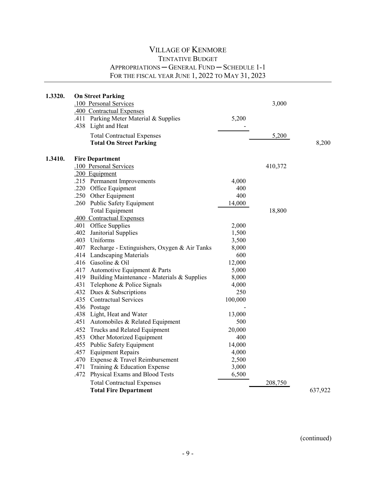| 1.3320. | <b>On Street Parking</b><br>.100 Personal Services<br>.400 Contractual Expenses<br>.411 Parking Meter Material & Supplies<br>.438 Light and Heat<br><b>Total Contractual Expenses</b><br><b>Total On Street Parking</b> | 5,200   | 3,000<br>5,200 | 8,200   |
|---------|-------------------------------------------------------------------------------------------------------------------------------------------------------------------------------------------------------------------------|---------|----------------|---------|
| 1.3410. | <b>Fire Department</b>                                                                                                                                                                                                  |         |                |         |
|         | .100 Personal Services                                                                                                                                                                                                  |         | 410,372        |         |
|         | .200 Equipment                                                                                                                                                                                                          |         |                |         |
|         | .215 Permanent Improvements                                                                                                                                                                                             | 4,000   |                |         |
|         | .220 Office Equipment                                                                                                                                                                                                   | 400     |                |         |
|         | .250 Other Equipment                                                                                                                                                                                                    | 400     |                |         |
|         | .260 Public Safety Equipment                                                                                                                                                                                            | 14,000  |                |         |
|         | <b>Total Equipment</b>                                                                                                                                                                                                  |         | 18,800         |         |
|         | .400 Contractual Expenses                                                                                                                                                                                               |         |                |         |
|         | .401 Office Supplies                                                                                                                                                                                                    | 2,000   |                |         |
|         | .402 Janitorial Supplies                                                                                                                                                                                                | 1,500   |                |         |
|         | .403 Uniforms                                                                                                                                                                                                           | 3,500   |                |         |
|         | .407 Recharge - Extinguishers, Oxygen & Air Tanks                                                                                                                                                                       | 8,000   |                |         |
|         | .414 Landscaping Materials                                                                                                                                                                                              | 600     |                |         |
|         | .416 Gasoline & Oil                                                                                                                                                                                                     | 12,000  |                |         |
|         | .417 Automotive Equipment & Parts                                                                                                                                                                                       | 5,000   |                |         |
|         | .419 Building Maintenance - Materials & Supplies                                                                                                                                                                        | 8,000   |                |         |
|         | .431 Telephone & Police Signals                                                                                                                                                                                         | 4,000   |                |         |
|         | .432 Dues & Subscriptions                                                                                                                                                                                               | 250     |                |         |
|         | .435 Contractual Services                                                                                                                                                                                               | 100,000 |                |         |
|         | .436 Postage                                                                                                                                                                                                            |         |                |         |
|         | .438 Light, Heat and Water                                                                                                                                                                                              | 13,000  |                |         |
|         | .451 Automobiles & Related Equipment                                                                                                                                                                                    | 500     |                |         |
|         | .452<br>Trucks and Related Equipment                                                                                                                                                                                    | 20,000  |                |         |
|         | .453 Other Motorized Equipment                                                                                                                                                                                          | 400     |                |         |
|         | .455 Public Safety Equipment                                                                                                                                                                                            | 14,000  |                |         |
|         | .457 Equipment Repairs                                                                                                                                                                                                  | 4,000   |                |         |
|         | .470 Expense & Travel Reimbursement                                                                                                                                                                                     | 2,500   |                |         |
|         | .471 Training & Education Expense                                                                                                                                                                                       | 3,000   |                |         |
|         | .472 Physical Exams and Blood Tests                                                                                                                                                                                     | 6,500   |                |         |
|         | <b>Total Contractual Expenses</b>                                                                                                                                                                                       |         | 208,750        |         |
|         | <b>Total Fire Department</b>                                                                                                                                                                                            |         |                | 637,922 |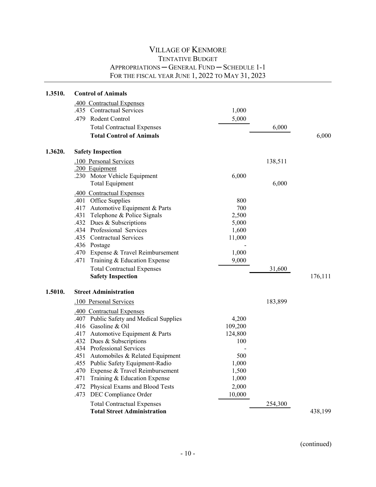| 1.3510. | <b>Control of Animals</b>               |         |         |         |
|---------|-----------------------------------------|---------|---------|---------|
|         | .400 Contractual Expenses               |         |         |         |
|         | .435 Contractual Services               | 1,000   |         |         |
|         | .479 Rodent Control                     | 5,000   |         |         |
|         | <b>Total Contractual Expenses</b>       |         | 6,000   |         |
|         | <b>Total Control of Animals</b>         |         |         | 6,000   |
| 1.3620. | <b>Safety Inspection</b>                |         |         |         |
|         | .100 Personal Services                  |         | 138,511 |         |
|         | .200 Equipment                          |         |         |         |
|         | .230 Motor Vehicle Equipment            | 6,000   |         |         |
|         | <b>Total Equipment</b>                  |         | 6,000   |         |
|         | .400 Contractual Expenses               |         |         |         |
|         | .401 Office Supplies                    | 800     |         |         |
|         | .417 Automotive Equipment & Parts       | 700     |         |         |
|         | Telephone & Police Signals<br>.431      | 2,500   |         |         |
|         | .432 Dues & Subscriptions               | 5,000   |         |         |
|         | .434 Professional Services              | 1,600   |         |         |
|         | .435 Contractual Services               | 11,000  |         |         |
|         | .436 Postage                            |         |         |         |
|         | .470 Expense & Travel Reimbursement     | 1,000   |         |         |
|         | Training & Education Expense<br>.471    | 9,000   |         |         |
|         | <b>Total Contractual Expenses</b>       |         | 31,600  |         |
|         | <b>Safety Inspection</b>                |         |         | 176,111 |
| 1.5010. | <b>Street Administration</b>            |         |         |         |
|         | .100 Personal Services                  |         | 183,899 |         |
|         | .400 Contractual Expenses               |         |         |         |
|         | .407 Public Safety and Medical Supplies | 4,200   |         |         |
|         | .416 Gasoline & Oil                     | 109,200 |         |         |
|         | .417 Automotive Equipment & Parts       | 124,800 |         |         |
|         | .432 Dues & Subscriptions               | 100     |         |         |
|         | .434 Professional Services              |         |         |         |
|         | .451 Automobiles & Related Equipment    | 500     |         |         |
|         | .455 Public Safety Equipment-Radio      | 1,000   |         |         |
|         | .470 Expense & Travel Reimbursement     | 1,500   |         |         |
|         | Training & Education Expense<br>.471    | 1,000   |         |         |
|         | Physical Exams and Blood Tests<br>.472  | 2,000   |         |         |
|         | DEC Compliance Order<br>.473            | 10,000  |         |         |
|         | <b>Total Contractual Expenses</b>       |         | 254,300 |         |
|         | <b>Total Street Administration</b>      |         |         | 438,199 |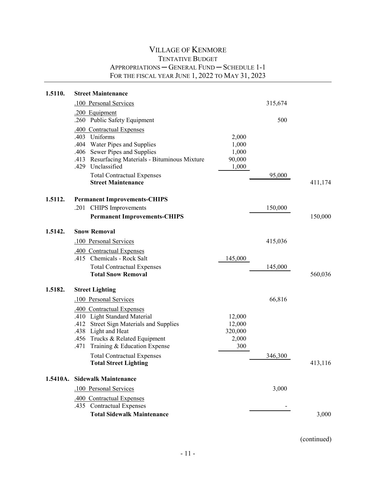| 1.5110. | <b>Street Maintenance</b>                                                                                                                                                                                                                              |                                             |         |         |
|---------|--------------------------------------------------------------------------------------------------------------------------------------------------------------------------------------------------------------------------------------------------------|---------------------------------------------|---------|---------|
|         | .100 Personal Services                                                                                                                                                                                                                                 |                                             | 315,674 |         |
|         | .200 Equipment<br>.260 Public Safety Equipment                                                                                                                                                                                                         |                                             | 500     |         |
|         | .400 Contractual Expenses<br>.403 Uniforms<br>.404 Water Pipes and Supplies<br>.406 Sewer Pipes and Supplies<br>.413 Resurfacing Materials - Bituminous Mixture<br>.429 Unclassified<br><b>Total Contractual Expenses</b><br><b>Street Maintenance</b> | 2,000<br>1,000<br>1,000<br>90,000<br>1,000  | 95,000  | 411,174 |
| 1.5112. | <b>Permanent Improvements-CHIPS</b><br><b>CHIPS</b> Improvements<br>.201                                                                                                                                                                               |                                             | 150,000 |         |
|         | <b>Permanent Improvements-CHIPS</b>                                                                                                                                                                                                                    |                                             |         | 150,000 |
| 1.5142. | <b>Snow Removal</b>                                                                                                                                                                                                                                    |                                             |         |         |
|         | .100 Personal Services                                                                                                                                                                                                                                 |                                             | 415,036 |         |
|         | .400 Contractual Expenses<br>.415 Chemicals - Rock Salt                                                                                                                                                                                                | 145,000                                     |         |         |
|         | <b>Total Contractual Expenses</b><br><b>Total Snow Removal</b>                                                                                                                                                                                         |                                             | 145,000 | 560,036 |
| 1.5182. | <b>Street Lighting</b>                                                                                                                                                                                                                                 |                                             |         |         |
|         | .100 Personal Services                                                                                                                                                                                                                                 |                                             | 66,816  |         |
|         | .400 Contractual Expenses<br>.410 Light Standard Material<br>.412 Street Sign Materials and Supplies<br>.438 Light and Heat<br>.456 Trucks & Related Equipment<br>Training & Education Expense<br>.471                                                 | 12,000<br>12,000<br>320,000<br>2,000<br>300 |         |         |
|         | <b>Total Contractual Expenses</b><br><b>Total Street Lighting</b>                                                                                                                                                                                      |                                             | 346,300 | 413,116 |
|         | 1.5410A. Sidewalk Maintenance                                                                                                                                                                                                                          |                                             |         |         |
|         | .100 Personal Services                                                                                                                                                                                                                                 |                                             | 3,000   |         |
|         | .400 Contractual Expenses<br>.435 Contractual Expenses                                                                                                                                                                                                 |                                             |         |         |
|         | <b>Total Sidewalk Maintenance</b>                                                                                                                                                                                                                      |                                             |         | 3,000   |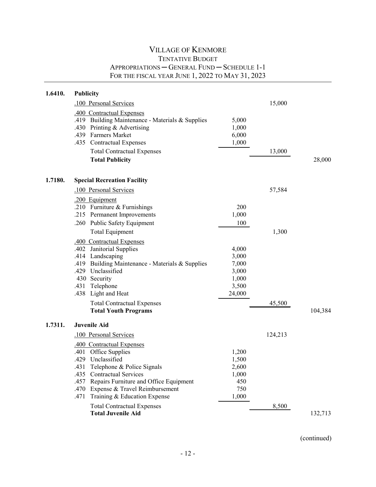| 1.6410. | <b>Publicity</b>                                 |        |         |         |
|---------|--------------------------------------------------|--------|---------|---------|
|         | .100 Personal Services                           |        | 15,000  |         |
|         | .400 Contractual Expenses                        |        |         |         |
|         | .419 Building Maintenance - Materials & Supplies | 5,000  |         |         |
|         | .430 Printing & Advertising                      | 1,000  |         |         |
|         | .439 Farmers Market                              | 6,000  |         |         |
|         | .435 Contractual Expenses                        | 1,000  |         |         |
|         | <b>Total Contractual Expenses</b>                |        | 13,000  |         |
|         | <b>Total Publicity</b>                           |        |         | 28,000  |
| 1.7180. | <b>Special Recreation Facility</b>               |        |         |         |
|         | .100 Personal Services                           |        | 57,584  |         |
|         | .200 Equipment                                   |        |         |         |
|         | .210 Furniture & Furnishings                     | 200    |         |         |
|         | .215 Permanent Improvements                      | 1,000  |         |         |
|         | .260 Public Safety Equipment                     | 100    |         |         |
|         | <b>Total Equipment</b>                           |        | 1,300   |         |
|         | .400 Contractual Expenses                        |        |         |         |
|         | .402 Janitorial Supplies                         | 4,000  |         |         |
|         | .414 Landscaping                                 | 3,000  |         |         |
|         | .419 Building Maintenance - Materials & Supplies | 7,000  |         |         |
|         | .429 Unclassified                                | 3,000  |         |         |
|         | 430 Security                                     | 1,000  |         |         |
|         | .431 Telephone                                   | 3,500  |         |         |
|         | .438 Light and Heat                              | 24,000 |         |         |
|         | <b>Total Contractual Expenses</b>                |        | 45,500  |         |
|         | <b>Total Youth Programs</b>                      |        |         | 104,384 |
| 1.7311. | <b>Juvenile Aid</b>                              |        |         |         |
|         | .100 Personal Services                           |        | 124,213 |         |
|         | .400 Contractual Expenses                        |        |         |         |
|         | .401 Office Supplies                             | 1,200  |         |         |
|         | .429 Unclassified                                | 1,500  |         |         |
|         | .431 Telephone & Police Signals                  | 2,600  |         |         |
|         | <b>Contractual Services</b><br>.435              | 1,000  |         |         |
|         | Repairs Furniture and Office Equipment<br>.457   | 450    |         |         |
|         | .470<br>Expense & Travel Reimbursement           | 750    |         |         |
|         | .471<br>Training & Education Expense             | 1,000  |         |         |
|         | <b>Total Contractual Expenses</b>                |        | 8,500   |         |
|         | <b>Total Juvenile Aid</b>                        |        |         | 132,713 |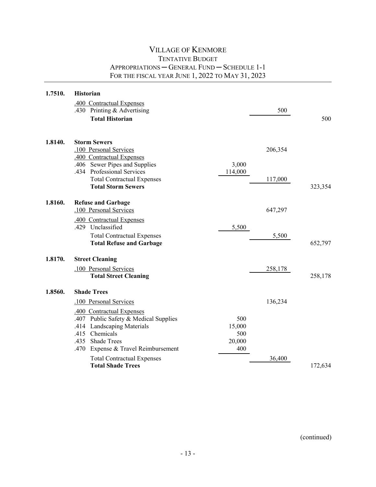| 1.7510. | <b>Historian</b>                       |         |         |         |
|---------|----------------------------------------|---------|---------|---------|
|         | .400 Contractual Expenses              |         |         |         |
|         | .430 Printing & Advertising            |         | 500     |         |
|         | <b>Total Historian</b>                 |         |         | 500     |
| 1.8140. | <b>Storm Sewers</b>                    |         |         |         |
|         | .100 Personal Services                 |         | 206,354 |         |
|         | .400 Contractual Expenses              |         |         |         |
|         | .406 Sewer Pipes and Supplies          | 3,000   |         |         |
|         | .434 Professional Services             | 114,000 |         |         |
|         | <b>Total Contractual Expenses</b>      |         | 117,000 |         |
|         | <b>Total Storm Sewers</b>              |         |         | 323,354 |
| 1.8160. | <b>Refuse and Garbage</b>              |         |         |         |
|         | .100 Personal Services                 |         | 647,297 |         |
|         | .400 Contractual Expenses              |         |         |         |
|         | .429 Unclassified                      | 5,500   |         |         |
|         | <b>Total Contractual Expenses</b>      |         | 5,500   |         |
|         | <b>Total Refuse and Garbage</b>        |         |         | 652,797 |
| 1.8170. | <b>Street Cleaning</b>                 |         |         |         |
|         | .100 Personal Services                 |         | 258,178 |         |
|         | <b>Total Street Cleaning</b>           |         |         | 258,178 |
| 1.8560. | <b>Shade Trees</b>                     |         |         |         |
|         | .100 Personal Services                 |         | 136,234 |         |
|         | .400 Contractual Expenses              |         |         |         |
|         | .407 Public Safety & Medical Supplies  | 500     |         |         |
|         | .414 Landscaping Materials             | 15,000  |         |         |
|         | .415 Chemicals                         | 500     |         |         |
|         | .435 Shade Trees                       | 20,000  |         |         |
|         | Expense & Travel Reimbursement<br>.470 | 400     |         |         |
|         | <b>Total Contractual Expenses</b>      |         | 36,400  |         |
|         | <b>Total Shade Trees</b>               |         |         | 172,634 |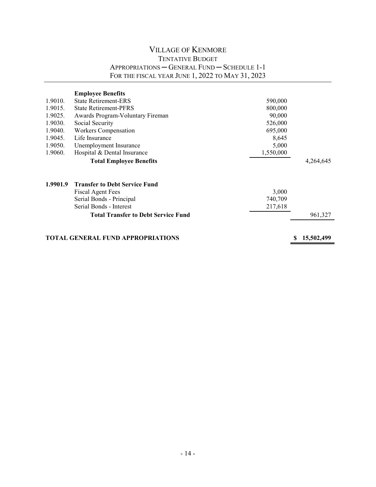| <b>State Retirement-ERS</b><br>590,000     |                                                                                                  |                                                                                                       |  |  |
|--------------------------------------------|--------------------------------------------------------------------------------------------------|-------------------------------------------------------------------------------------------------------|--|--|
| <b>State Retirement-PFRS</b>               |                                                                                                  |                                                                                                       |  |  |
| Awards Program-Voluntary Fireman           |                                                                                                  |                                                                                                       |  |  |
| Social Security                            |                                                                                                  |                                                                                                       |  |  |
| Workers Compensation                       |                                                                                                  |                                                                                                       |  |  |
| Life Insurance                             |                                                                                                  |                                                                                                       |  |  |
| Unemployment Insurance                     |                                                                                                  |                                                                                                       |  |  |
| Hospital & Dental Insurance                |                                                                                                  |                                                                                                       |  |  |
| <b>Total Employee Benefits</b>             |                                                                                                  | 4,264,645                                                                                             |  |  |
| <b>Transfer to Debt Service Fund</b>       |                                                                                                  |                                                                                                       |  |  |
|                                            |                                                                                                  |                                                                                                       |  |  |
|                                            |                                                                                                  |                                                                                                       |  |  |
| Serial Bonds - Interest                    |                                                                                                  |                                                                                                       |  |  |
| <b>Total Transfer to Debt Service Fund</b> |                                                                                                  | 961,327                                                                                               |  |  |
|                                            |                                                                                                  |                                                                                                       |  |  |
|                                            | <b>Fiscal Agent Fees</b><br>Serial Bonds - Principal<br><b>TOTAL GENERAL FUND APPROPRIATIONS</b> | 800,000<br>90,000<br>526,000<br>695,000<br>8,645<br>5,000<br>1,550,000<br>3,000<br>740,709<br>217,618 |  |  |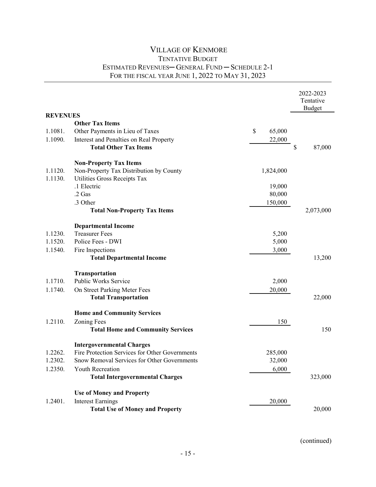#### VILLAGE OF KENMORE TENTATIVE BUDGET ESTIMATED REVENUES─ GENERAL FUND ─ SCHEDULE 2-1 FOR THE FISCAL YEAR JUNE 1, 2022 TO MAY 31, 2023

|                 |                                                |              | 2022-2023<br>Tentative |
|-----------------|------------------------------------------------|--------------|------------------------|
|                 |                                                |              | <b>Budget</b>          |
| <b>REVENUES</b> |                                                |              |                        |
|                 | <b>Other Tax Items</b>                         |              |                        |
| 1.1081.         | Other Payments in Lieu of Taxes                | \$<br>65,000 |                        |
| 1.1090.         | Interest and Penalties on Real Property        | 22,000       |                        |
|                 | <b>Total Other Tax Items</b>                   |              | \$<br>87,000           |
|                 | <b>Non-Property Tax Items</b>                  |              |                        |
| 1.1120.         | Non-Property Tax Distribution by County        | 1,824,000    |                        |
| 1.1130.         | Utilities Gross Receipts Tax                   |              |                        |
|                 | .1 Electric                                    | 19,000       |                        |
|                 | $.2$ Gas                                       | 80,000       |                        |
|                 | .3 Other                                       | 150,000      |                        |
|                 | <b>Total Non-Property Tax Items</b>            |              | 2,073,000              |
|                 | <b>Departmental Income</b>                     |              |                        |
| 1.1230.         | <b>Treasurer Fees</b>                          | 5,200        |                        |
| 1.1520.         | Police Fees - DWI                              | 5,000        |                        |
| 1.1540.         | Fire Inspections                               | 3,000        |                        |
|                 | <b>Total Departmental Income</b>               |              | 13,200                 |
|                 | Transportation                                 |              |                        |
| 1.1710.         | Public Works Service                           | 2,000        |                        |
| 1.1740.         | On Street Parking Meter Fees                   | 20,000       |                        |
|                 | <b>Total Transportation</b>                    |              | 22,000                 |
|                 | <b>Home and Community Services</b>             |              |                        |
| 1.2110.         | <b>Zoning Fees</b>                             | 150          |                        |
|                 | <b>Total Home and Community Services</b>       |              | 150                    |
|                 | <b>Intergovernmental Charges</b>               |              |                        |
| 1.2262.         | Fire Protection Services for Other Governments | 285,000      |                        |
| 1.2302.         | Snow Removal Services for Other Governments    | 32,000       |                        |
| 1.2350.         | Youth Recreation                               | 6,000        |                        |
|                 | <b>Total Intergovernmental Charges</b>         |              | 323,000                |
|                 | <b>Use of Money and Property</b>               |              |                        |
| 1.2401.         | <b>Interest Earnings</b>                       | 20,000       |                        |
|                 | <b>Total Use of Money and Property</b>         |              | 20,000                 |
|                 |                                                |              |                        |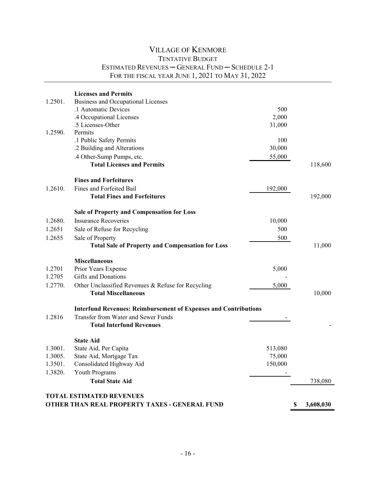#### VILLAGE OF KENMORE TENTATIVE BUDGET ESTIMATED REVENUES ─ GENERAL FUND ─ SCHEDULE 2-1 FOR THE FISCAL YEAR JUNE 1, 2021 TO MAY 31, 2022

| 1.2501. | <b>Licenses and Permits</b><br>Business and Occupational Licenses<br>.1 Automatic Devices<br>.4 Occupational Licenses | 500<br>2,000 |                 |
|---------|-----------------------------------------------------------------------------------------------------------------------|--------------|-----------------|
|         | .5 Licenses-Other                                                                                                     | 31,000       |                 |
| 1.2590. | Permits                                                                                                               |              |                 |
|         | .1 Public Safety Permits                                                                                              | 100          |                 |
|         | .2 Building and Alterations                                                                                           | 30,000       |                 |
|         | .4 Other-Sump Pumps, etc.                                                                                             | 55,000       |                 |
|         | <b>Total Licenses and Permits</b>                                                                                     |              | 118,600         |
|         | <b>Fines and Forfeitures</b>                                                                                          |              |                 |
| 1.2610. | Fines and Forfeited Bail                                                                                              | 192,000      |                 |
|         | <b>Total Fines and Forfeitures</b>                                                                                    |              | 192,000         |
|         | <b>Sale of Property and Compensation for Loss</b>                                                                     |              |                 |
| 1.2680. | <b>Insurance Recoveries</b>                                                                                           | 10,000       |                 |
| 1.2651  | Sale of Refuse for Recycling                                                                                          | 500          |                 |
| 1.2655  | Sale of Property                                                                                                      | 500          |                 |
|         | <b>Total Sale of Property and Compensation for Loss</b>                                                               |              | 11,000          |
|         | <b>Miscellaneous</b>                                                                                                  |              |                 |
| 1.2701  | Prior Years Expense                                                                                                   | 5,000        |                 |
| 1.2705  | Gifts and Donations                                                                                                   |              |                 |
| 1.2770. | Other Unclassified Revenues & Refuse for Recycling                                                                    | 5,000        |                 |
|         | <b>Total Miscellaneous</b>                                                                                            |              | 10,000          |
|         | <b>Interfund Revenues: Reimbursement of Expenses and Contributions</b>                                                |              |                 |
| 1.2816  | Transfer from Water and Sewer Funds                                                                                   |              |                 |
|         | <b>Total Interfund Revenues</b>                                                                                       |              |                 |
|         | <b>State Aid</b>                                                                                                      |              |                 |
| 1.3001. | State Aid, Per Capita                                                                                                 | 513,080      |                 |
| 1.3005. | State Aid, Mortgage Tax                                                                                               | 75,000       |                 |
| 1.3501. | Consolidated Highway Aid                                                                                              | 150,000      |                 |
| 1.3820. | <b>Youth Programs</b>                                                                                                 |              |                 |
|         | <b>Total State Aid</b>                                                                                                |              | 738,080         |
|         | <b>TOTAL ESTIMATED REVENUES</b>                                                                                       |              |                 |
|         | OTHER THAN REAL PROPERTY TAXES - GENERAL FUND                                                                         |              | \$<br>3,608,030 |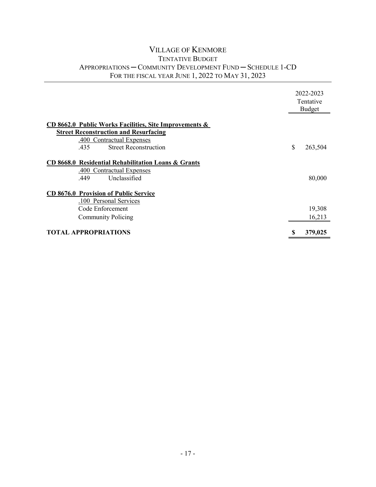#### VILLAGE OF KENMORE TENTATIVE BUDGET APPROPRIATIONS ─ COMMUNITY DEVELOPMENT FUND ─ SCHEDULE 1-CD FOR THE FISCAL YEAR JUNE 1, 2022 TO MAY 31, 2023

|                                                                                                          |    | 2022-2023<br>Tentative<br><b>Budget</b> |
|----------------------------------------------------------------------------------------------------------|----|-----------------------------------------|
| CD 8662.0 Public Works Facilities, Site Improvements &                                                   |    |                                         |
| <b>Street Reconstruction and Resurfacing</b>                                                             |    |                                         |
| .400 Contractual Expenses                                                                                |    |                                         |
| <b>Street Reconstruction</b><br>.435                                                                     | \$ | 263,504                                 |
| CD 8668.0 Residential Rehabilitation Loans & Grants<br>.400 Contractual Expenses<br>Unclassified<br>.449 |    | 80,000                                  |
| <b>CD 8676.0 Provision of Public Service</b><br>.100 Personal Services<br>Code Enforcement               |    | 19,308                                  |
| <b>Community Policing</b>                                                                                |    | 16,213                                  |
| <b>TOTAL APPROPRIATIONS</b>                                                                              |    | 379,025                                 |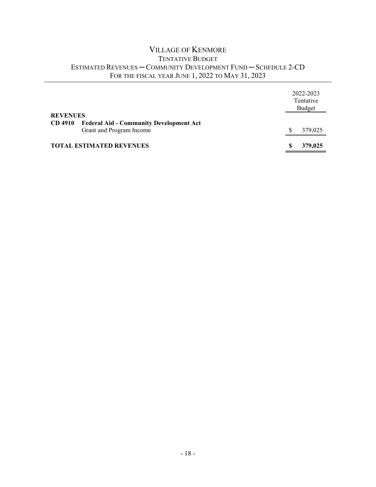### VILLAGE OF KENMORE TENTATIVE BUDGET ESTIMATED REVENUES ─ COMMUNITY DEVELOPMENT FUND ─ SCHEDULE 2-CD FOR THE FISCAL YEAR JUNE 1, 2022 TO MAY 31, 2023

| <b>REVENUES</b>                                                  | 2022-2023<br>Tentative<br>Budget |
|------------------------------------------------------------------|----------------------------------|
| <b>CD</b> 4910<br><b>Federal Aid - Community Development Act</b> |                                  |
| Grant and Program Income                                         | S<br>379,025                     |
| <b>TOTAL ESTIMATED REVENUES</b>                                  | 379,025                          |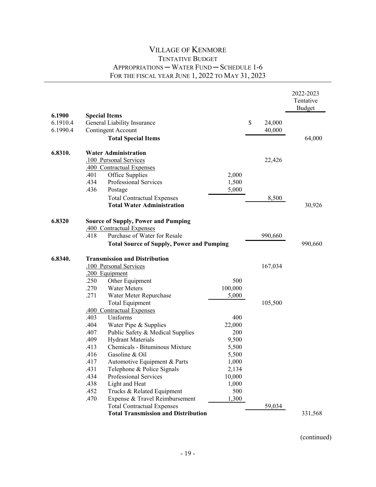|          |      |                                                  |         |              | 2022-2023<br>Tentative |
|----------|------|--------------------------------------------------|---------|--------------|------------------------|
|          |      |                                                  |         |              | <b>Budget</b>          |
| 6.1900   |      | <b>Special Items</b>                             |         |              |                        |
| 6.1910.4 |      | General Liability Insurance                      |         | \$<br>24,000 |                        |
| 6.1990.4 |      | Contingent Account                               |         | 40,000       |                        |
|          |      | <b>Total Special Items</b>                       |         |              | 64,000                 |
| 6.8310.  |      | <b>Water Administration</b>                      |         |              |                        |
|          |      | .100 Personal Services                           |         | 22,426       |                        |
|          |      | .400 Contractual Expenses                        |         |              |                        |
|          | .401 | Office Supplies                                  | 2,000   |              |                        |
|          | .434 | Professional Services                            | 1,500   |              |                        |
|          | .436 | Postage                                          | 5,000   |              |                        |
|          |      | <b>Total Contractual Expenses</b>                |         | 8,500        |                        |
|          |      | <b>Total Water Administration</b>                |         |              | 30,926                 |
| 6.8320   |      | <b>Source of Supply, Power and Pumping</b>       |         |              |                        |
|          |      | .400 Contractual Expenses                        |         |              |                        |
|          | .418 | Purchase of Water for Resale                     |         | 990,660      |                        |
|          |      | <b>Total Source of Supply, Power and Pumping</b> |         |              | 990,660                |
| 6.8340.  |      | <b>Transmission and Distribution</b>             |         |              |                        |
|          |      | .100 Personal Services                           |         | 167,034      |                        |
|          |      | .200 Equipment                                   |         |              |                        |
|          | .250 | Other Equipment                                  | 500     |              |                        |
|          | .270 | <b>Water Meters</b>                              | 100,000 |              |                        |
|          | .271 | Water Meter Repurchase                           | 5,000   |              |                        |
|          |      | <b>Total Equipment</b>                           |         | 105,500      |                        |
|          |      | .400 Contractual Expenses                        |         |              |                        |
|          | .403 | Uniforms                                         | 400     |              |                        |
|          | .404 | Water Pipe & Supplies                            | 22,000  |              |                        |
|          | .407 | Public Safety & Medical Supplies                 | 200     |              |                        |
|          | .409 | <b>Hydrant Materials</b>                         | 9,500   |              |                        |
|          | .413 | Chemicals - Bituminous Mixture                   | 5,500   |              |                        |
|          | .416 | Gasoline & Oil                                   | 5,500   |              |                        |
|          | .417 | Automotive Equipment & Parts                     | 1,000   |              |                        |
|          | .431 | Telephone & Police Signals                       | 2,134   |              |                        |
|          | .434 | Professional Services                            | 10,000  |              |                        |
|          | .438 | Light and Heat                                   | 1,000   |              |                        |
|          | .452 | Trucks & Related Equipment                       | 500     |              |                        |
|          | .470 | Expense & Travel Reimbursement                   | 1,300   |              |                        |
|          |      | <b>Total Contractual Expenses</b>                |         | 59,034       |                        |
|          |      | <b>Total Transmission and Distribution</b>       |         |              | 331,568                |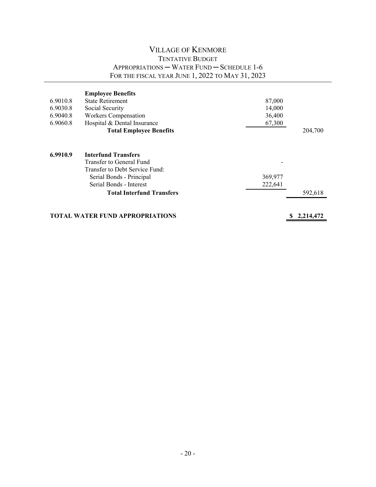|          | <b>Employee Benefits</b>               |         |                |
|----------|----------------------------------------|---------|----------------|
| 6.9010.8 | <b>State Retirement</b>                | 87,000  |                |
| 6.9030.8 | Social Security                        | 14,000  |                |
| 6.9040.8 | Workers Compensation                   | 36,400  |                |
| 6.9060.8 | Hospital & Dental Insurance            | 67,300  |                |
|          | <b>Total Employee Benefits</b>         |         | 204,700        |
|          |                                        |         |                |
| 6.9910.9 | <b>Interfund Transfers</b>             |         |                |
|          | Transfer to General Fund               |         |                |
|          | Transfer to Debt Service Fund:         |         |                |
|          | Serial Bonds - Principal               | 369,977 |                |
|          | Serial Bonds - Interest                | 222,641 |                |
|          | <b>Total Interfund Transfers</b>       |         | 592,618        |
|          |                                        |         |                |
|          | <b>TOTAL WATER FUND APPROPRIATIONS</b> |         | S<br>2,214,472 |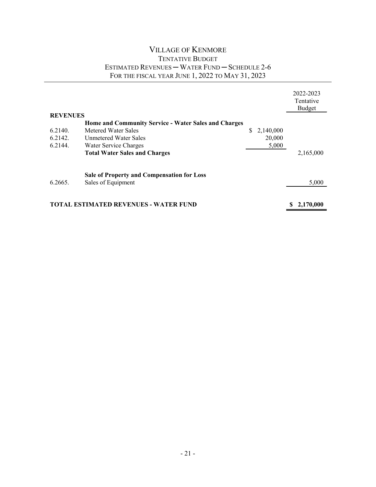#### VILLAGE OF KENMORE TENTATIVE BUDGET ESTIMATED REVENUES ─ WATER FUND ─ SCHEDULE 2-6 FOR THE FISCAL YEAR JUNE 1, 2022 TO MAY 31, 2023

|                 |                                                             |                 | 2022-2023<br>Tentative<br><b>Budget</b> |
|-----------------|-------------------------------------------------------------|-----------------|-----------------------------------------|
| <b>REVENUES</b> |                                                             |                 |                                         |
|                 | <b>Home and Community Service - Water Sales and Charges</b> |                 |                                         |
| 6.2140.         | Metered Water Sales                                         | S.<br>2,140,000 |                                         |
| 6.2142.         | Unmetered Water Sales                                       | 20,000          |                                         |
| 6.2144.         | Water Service Charges                                       | 5,000           |                                         |
|                 | <b>Total Water Sales and Charges</b>                        |                 | 2,165,000                               |
|                 | <b>Sale of Property and Compensation for Loss</b>           |                 |                                         |
| 6.2665.         | Sales of Equipment                                          |                 | 5,000                                   |
|                 |                                                             |                 |                                         |
|                 | <b>TOTAL ESTIMATED REVENUES - WATER FUND</b>                |                 | 2,170,000                               |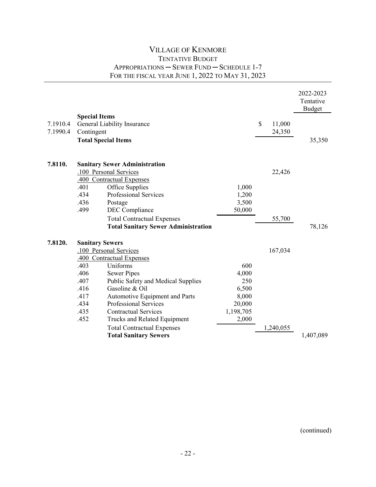|          |                            |                                            |           |              | 2022-2023<br>Tentative<br><b>Budget</b> |
|----------|----------------------------|--------------------------------------------|-----------|--------------|-----------------------------------------|
|          | <b>Special Items</b>       |                                            |           |              |                                         |
| 7.1910.4 |                            | General Liability Insurance                |           | \$<br>11,000 |                                         |
| 7.1990.4 | Contingent                 |                                            |           | 24,350       |                                         |
|          | <b>Total Special Items</b> |                                            |           |              | 35,350                                  |
|          |                            |                                            |           |              |                                         |
| 7.8110.  |                            | <b>Sanitary Sewer Administration</b>       |           |              |                                         |
|          |                            | .100 Personal Services                     |           | 22,426       |                                         |
|          |                            | .400 Contractual Expenses                  |           |              |                                         |
|          | .401                       | Office Supplies                            | 1,000     |              |                                         |
|          | .434                       | Professional Services                      | 1,200     |              |                                         |
|          | .436                       | Postage                                    | 3,500     |              |                                         |
|          | .499                       | DEC Compliance                             | 50,000    |              |                                         |
|          |                            | <b>Total Contractual Expenses</b>          |           | 55,700       |                                         |
|          |                            | <b>Total Sanitary Sewer Administration</b> |           |              | 78,126                                  |
| 7.8120.  | <b>Sanitary Sewers</b>     |                                            |           |              |                                         |
|          |                            | .100 Personal Services                     |           | 167,034      |                                         |
|          |                            | .400 Contractual Expenses                  |           |              |                                         |
|          | .403                       | Uniforms                                   | 600       |              |                                         |
|          | .406                       | <b>Sewer Pipes</b>                         | 4,000     |              |                                         |
|          | .407                       | Public Safety and Medical Supplies         | 250       |              |                                         |
|          | .416                       | Gasoline & Oil                             | 6,500     |              |                                         |
|          | .417                       | Automotive Equipment and Parts             | 8,000     |              |                                         |
|          | .434                       | Professional Services                      | 20,000    |              |                                         |
|          | .435                       | <b>Contractual Services</b>                | 1,198,705 |              |                                         |
|          | .452                       | Trucks and Related Equipment               | 2,000     |              |                                         |
|          |                            | <b>Total Contractual Expenses</b>          |           | 1,240,055    |                                         |
|          |                            | <b>Total Sanitary Sewers</b>               |           |              | 1,407,089                               |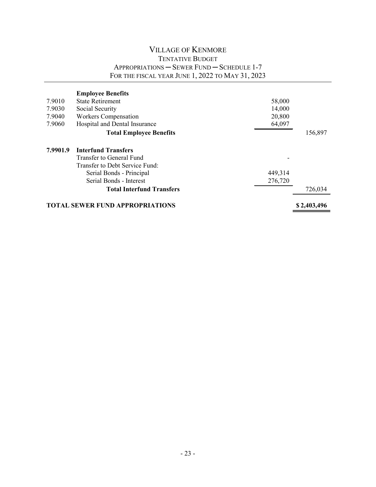|                                                       | <b>Employee Benefits</b>         |         |         |  |
|-------------------------------------------------------|----------------------------------|---------|---------|--|
| 7.9010                                                | <b>State Retirement</b>          | 58,000  |         |  |
| 7.9030                                                | Social Security                  | 14,000  |         |  |
| 7.9040                                                | Workers Compensation             | 20,800  |         |  |
| 7.9060                                                | Hospital and Dental Insurance    | 64,097  |         |  |
|                                                       | <b>Total Employee Benefits</b>   |         | 156,897 |  |
| 7.9901.9                                              | <b>Interfund Transfers</b>       |         |         |  |
|                                                       | Transfer to General Fund         |         |         |  |
|                                                       | Transfer to Debt Service Fund:   |         |         |  |
|                                                       | Serial Bonds - Principal         | 449,314 |         |  |
|                                                       | Serial Bonds - Interest          | 276,720 |         |  |
|                                                       | <b>Total Interfund Transfers</b> |         | 726,034 |  |
| <b>TOTAL SEWER FUND APPROPRIATIONS</b><br>\$2,403,496 |                                  |         |         |  |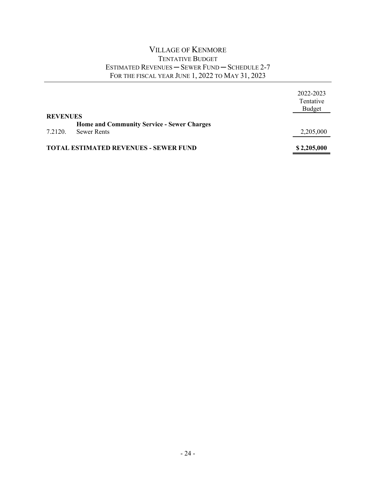#### VILLAGE OF KENMORE TENTATIVE BUDGET ESTIMATED REVENUES ─ SEWER FUND ─ SCHEDULE 2-7 FOR THE FISCAL YEAR JUNE 1, 2022 TO MAY 31, 2023

|                 |                                                   | 2022-2023<br>Tentative<br><b>Budget</b> |
|-----------------|---------------------------------------------------|-----------------------------------------|
| <b>REVENUES</b> |                                                   |                                         |
|                 | <b>Home and Community Service - Sewer Charges</b> |                                         |
| 7.2120.         | <b>Sewer Rents</b>                                | 2,205,000                               |
|                 | <b>TOTAL ESTIMATED REVENUES - SEWER FUND</b>      | \$2,205,000                             |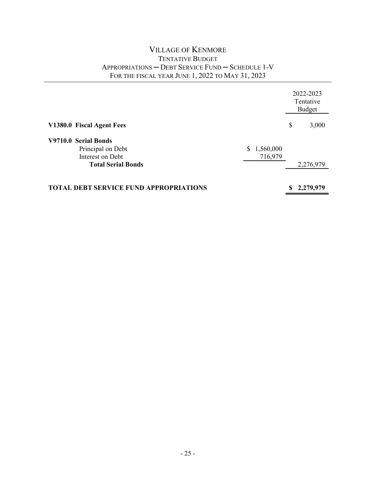|                                               |    | 2022-2023<br>Tentative<br>Budget |
|-----------------------------------------------|----|----------------------------------|
| V1380.0 Fiscal Agent Fees                     | \$ | 3,000                            |
| V9710.0 Serial Bonds                          |    |                                  |
| Principal on Debt<br>1,560,000<br>S           |    |                                  |
| Interest on Debt<br>716,979                   |    |                                  |
| <b>Total Serial Bonds</b>                     |    | 2,276,979                        |
|                                               |    |                                  |
| <b>TOTAL DEBT SERVICE FUND APPROPRIATIONS</b> | S  | 2,279,979                        |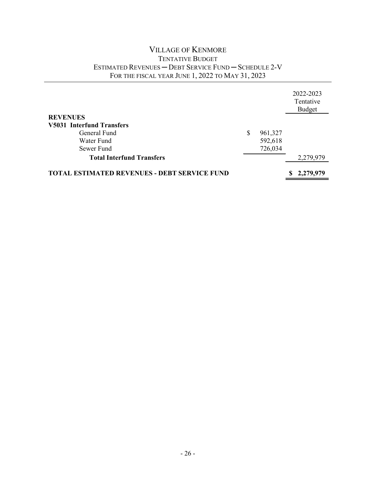#### VILLAGE OF KENMORE TENTATIVE BUDGET ESTIMATED REVENUES ─ DEBT SERVICE FUND ─ SCHEDULE 2-V FOR THE FISCAL YEAR JUNE 1, 2022 TO MAY 31, 2023

|                                                     |               | 2022-2023 |
|-----------------------------------------------------|---------------|-----------|
|                                                     |               | Tentative |
|                                                     |               | Budget    |
| <b>REVENUES</b>                                     |               |           |
| <b>V5031 Interfund Transfers</b>                    |               |           |
| General Fund                                        | \$<br>961,327 |           |
| Water Fund                                          | 592,618       |           |
| Sewer Fund                                          | 726,034       |           |
| <b>Total Interfund Transfers</b>                    |               | 2,279,979 |
|                                                     |               |           |
| <b>TOTAL ESTIMATED REVENUES - DEBT SERVICE FUND</b> |               | 2,279,979 |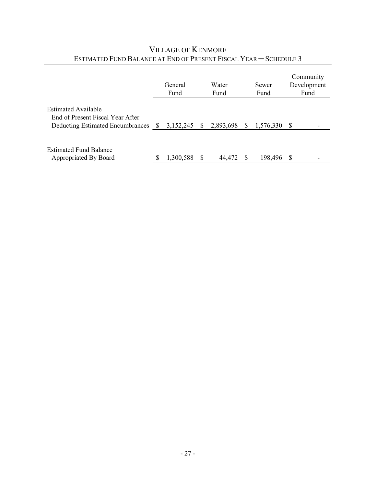|                                                                                                    |               | General<br>Fund |              | Water<br>Fund | Sewer<br>Fund |    | Community<br>Development<br>Fund |
|----------------------------------------------------------------------------------------------------|---------------|-----------------|--------------|---------------|---------------|----|----------------------------------|
| <b>Estimated Available</b><br>End of Present Fiscal Year After<br>Deducting Estimated Encumbrances | <sup>\$</sup> | 3,152,245       | <sup>S</sup> | 2,893,698     | 1,576,330     | -S |                                  |
| <b>Estimated Fund Balance</b><br>Appropriated By Board                                             | S             | 1,300,588       |              | 44,472        | 198,496       | -S |                                  |

# VILLAGE OF KENMORE ESTIMATED FUND BALANCE AT END OF PRESENT FISCAL YEAR ─ SCHEDULE 3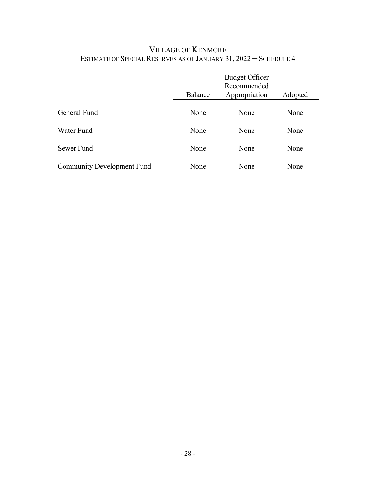|                                   | Balance | <b>Budget Officer</b><br>Recommended<br>Appropriation | Adopted |
|-----------------------------------|---------|-------------------------------------------------------|---------|
| General Fund                      | None    | None                                                  | None    |
| Water Fund                        | None    | None                                                  | None    |
| Sewer Fund                        | None    | None                                                  | None    |
| <b>Community Development Fund</b> | None    | None                                                  | None    |

# VILLAGE OF KENMORE ESTIMATE OF SPECIAL RESERVES AS OF JANUARY 31, 2022 ─ SCHEDULE 4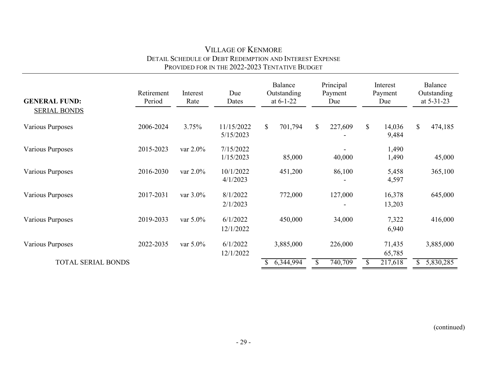| <b>GENERAL FUND:</b>      | Retirement<br>Period | Interest<br>Rate | Due<br>Dates            | Balance<br>Outstanding<br>at $6-1-22$ | Principal<br>Payment<br>Due |                                 | Balance<br>Outstanding<br>at 5-31-23 |  |
|---------------------------|----------------------|------------------|-------------------------|---------------------------------------|-----------------------------|---------------------------------|--------------------------------------|--|
| <b>SERIAL BONDS</b>       |                      |                  |                         |                                       |                             |                                 |                                      |  |
| Various Purposes          | 2006-2024            | 3.75%            | 11/15/2022<br>5/15/2023 | \$<br>701,794                         | \$<br>227,609               | $\mathbb{S}$<br>14,036<br>9,484 | \$<br>474,185                        |  |
| Various Purposes          | 2015-2023            | var 2.0%         | 7/15/2022<br>1/15/2023  | 85,000                                | 40,000                      | 1,490<br>1,490                  | 45,000                               |  |
| Various Purposes          | 2016-2030            | var $2.0\%$      | 10/1/2022<br>4/1/2023   | 451,200                               | 86,100                      | 5,458<br>4,597                  | 365,100                              |  |
| Various Purposes          | 2017-2031            | var $3.0\%$      | 8/1/2022<br>2/1/2023    | 772,000                               | 127,000                     | 16,378<br>13,203                | 645,000                              |  |
| Various Purposes          | 2019-2033            | var $5.0\%$      | 6/1/2022<br>12/1/2022   | 450,000                               | 34,000                      | 7,322<br>6,940                  | 416,000                              |  |
| Various Purposes          | 2022-2035            | var $5.0\%$      | 6/1/2022<br>12/1/2022   | 3,885,000                             | 226,000                     | 71,435<br>65,785                | 3,885,000                            |  |
| <b>TOTAL SERIAL BONDS</b> |                      |                  |                         | 6,344,994                             | 740,709<br>\$               | 217,618                         | 5,830,285<br>S.                      |  |

#### VILLAGE OF KENMORE DETAIL SCHEDULE OF DEBT REDEMPTION AND INTEREST EXPENSE PROVIDED FOR IN THE 2022-2023 TENTATIVE BUDGET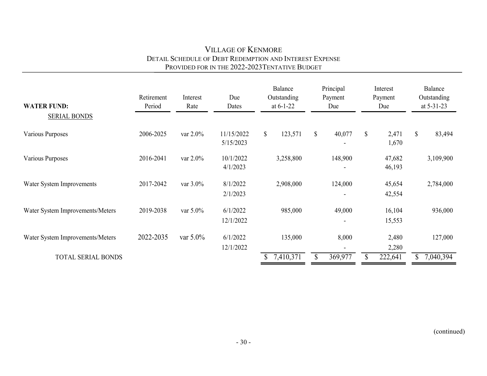### VILLAGE OF KENMORE DETAIL SCHEDULE OF DEBT REDEMPTION AND INTEREST EXPENSE PROVIDED FOR IN THE 2022-2023 TENTATIVE BUDGET

| <b>WATER FUND:</b>               | Retirement<br>Period | Interest<br>Rate | Due<br>Dates            |               | Balance<br>Outstanding<br>at $6-1-22$ |                           | Principal<br>Payment<br>Due |              | Interest<br>Payment<br>Due | Balance<br>Outstanding<br>at $5-31-23$ |
|----------------------------------|----------------------|------------------|-------------------------|---------------|---------------------------------------|---------------------------|-----------------------------|--------------|----------------------------|----------------------------------------|
| <b>SERIAL BONDS</b>              |                      |                  |                         |               |                                       |                           |                             |              |                            |                                        |
| Various Purposes                 | 2006-2025            | var 2.0%         | 11/15/2022<br>5/15/2023 | $\mathcal{S}$ | 123,571                               | $\boldsymbol{\mathsf{S}}$ | 40,077                      | $\mathbb{S}$ | 2,471<br>1,670             | \$<br>83,494                           |
| Various Purposes                 | 2016-2041            | var $2.0\%$      | 10/1/2022<br>4/1/2023   |               | 3,258,800                             |                           | 148,900                     |              | 47,682<br>46,193           | 3,109,900                              |
| Water System Improvements        | 2017-2042            | var 3.0%         | 8/1/2022<br>2/1/2023    |               | 2,908,000                             |                           | 124,000                     |              | 45,654<br>42,554           | 2,784,000                              |
| Water System Improvements/Meters | 2019-2038            | var 5.0%         | 6/1/2022<br>12/1/2022   |               | 985,000                               |                           | 49,000                      |              | 16,104<br>15,553           | 936,000                                |
| Water System Improvements/Meters | 2022-2035            | var $5.0\%$      | 6/1/2022<br>12/1/2022   |               | 135,000                               |                           | 8,000                       |              | 2,480<br>2,280             | 127,000                                |
| TOTAL SERIAL BONDS               |                      |                  |                         |               | 7,410,371                             | \$                        | 369,977                     | \$           | 222,641                    | 7,040,394                              |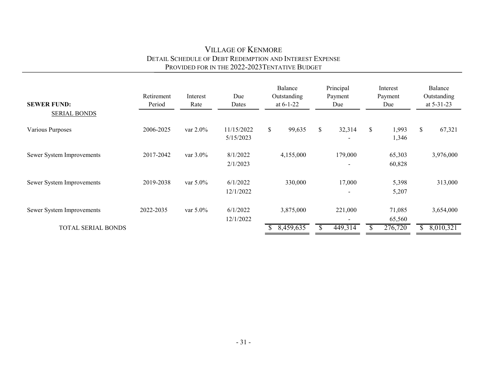#### VILLAGE OF KENMORE DETAIL SCHEDULE OF DEBT REDEMPTION AND INTEREST EXPENSE PROVIDED FOR IN THE 2022-2023 TENTATIVE BUDGET

| <b>SEWER FUND:</b>        | Retirement<br>Period | Interest<br>Rate | Due<br>Dates            | Balance<br>Outstanding<br>at $6-1-22$ |              | Principal<br>Payment<br>Due         | Interest<br>Payment<br>Due |    | Balance<br>Outstanding<br>at 5-31-23 |
|---------------------------|----------------------|------------------|-------------------------|---------------------------------------|--------------|-------------------------------------|----------------------------|----|--------------------------------------|
| <b>SERIAL BONDS</b>       |                      |                  |                         |                                       |              |                                     |                            |    |                                      |
| Various Purposes          | 2006-2025            | var $2.0\%$      | 11/15/2022<br>5/15/2023 | \$<br>99,635                          | $\mathbb{S}$ | 32,314                              | \$<br>1,993<br>1,346       | \$ | 67,321                               |
| Sewer System Improvements | 2017-2042            | var $3.0\%$      | 8/1/2022<br>2/1/2023    | 4,155,000                             |              | 179,000<br>$\overline{\phantom{a}}$ | 65,303<br>60,828           |    | 3,976,000                            |
| Sewer System Improvements | 2019-2038            | var 5.0%         | 6/1/2022<br>12/1/2022   | 330,000                               |              | 17,000<br>$\overline{\phantom{a}}$  | 5,398<br>5,207             |    | 313,000                              |
| Sewer System Improvements | 2022-2035            | var 5.0%         | 6/1/2022<br>12/1/2022   | 3,875,000                             |              | 221,000                             | 71,085<br>65,560           |    | 3,654,000                            |
| <b>TOTAL SERIAL BONDS</b> |                      |                  |                         | 8,459,635                             | \$           | 449,314                             | 276,720                    | S. | 8,010,321                            |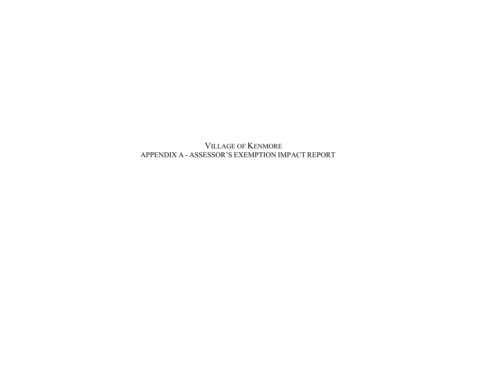VILLAGE OF KENMORE APPENDIX A - ASSESSOR'S EXEMPTION IMPACT REPORT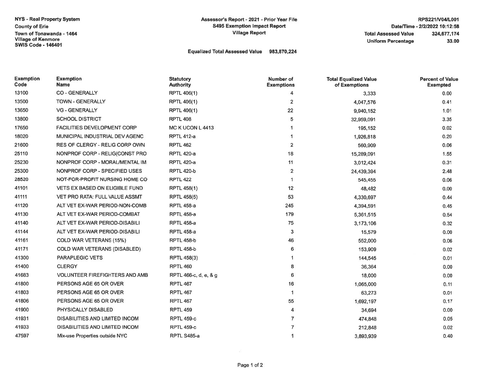**NYS - Real Property System County of Erie** Town of Tonawanda - 1464 **Village of Kenmore SWIS Code - 146401** 

#### Equalized Total Assessed Value 983,870,224

| <b>Exemption</b><br>Code | <b>Exemption</b><br>Name              | <b>Statutory</b><br><b>Authority</b> | Number of<br><b>Exemptions</b> | <b>Total Equalized Value</b><br>of Exemptions | <b>Percent of Value</b><br><b>Exempted</b> |
|--------------------------|---------------------------------------|--------------------------------------|--------------------------------|-----------------------------------------------|--------------------------------------------|
| 13100                    | <b>CO - GENERALLY</b>                 | <b>RPTL 406(1)</b>                   | 4                              | 3,333                                         | 0.00                                       |
| 13500                    | <b>TOWN - GENERALLY</b>               | <b>RPTL 406(1)</b>                   | 2                              | 4,047,576                                     | 0.41                                       |
| 13650                    | <b>VG - GENERALLY</b>                 | <b>RPTL 406(1)</b>                   | 22                             | 9,940,152                                     | 1.01                                       |
| 13800                    | <b>SCHOOL DISTRICT</b>                | <b>RPTL 408</b>                      | 5                              | 32,959,091                                    | 3.35                                       |
| 17650                    | <b>FACILITIES DEVELOPMENT CORP</b>    | MC K UCON L 4413                     |                                | 195,152                                       | 0.02                                       |
| 18020                    | MUNICIPAL INDUSTRIAL DEV AGENC        | <b>RPTL 412-a</b>                    | -1                             | 1,926,818                                     | 0.20                                       |
| 21600                    | RES OF CLERGY - RELIG CORP OWN        | <b>RPTL 462</b>                      | $\overline{2}$                 | 560,909                                       | 0.06                                       |
| 25110                    | NONPROF CORP - RELIG(CONST PRO        | <b>RPTL 420-a</b>                    | 18                             | 15,289,091                                    | 1.55                                       |
| 25230                    | NONPROF CORP - MORAL/MENTAL IM        | <b>RPTL 420-a</b>                    | 11                             | 3,012,424                                     | 0.31                                       |
| 25300                    | NONPROF CORP - SPECIFIED USES         | <b>RPTL 420-b</b>                    | $\mathbf{2}$                   | 24,439,394                                    | 2.48                                       |
| 28520                    | NOT-FOR-PROFIT NURSING HOME CO        | <b>RPTL 422</b>                      | -1                             | 545,455                                       | 0.06                                       |
| 41101                    | <b>VETS EX BASED ON ELIGIBLE FUND</b> | RPTL 458(1)                          | 12                             | 48,482                                        | 0.00                                       |
| 41111                    | <b>VET PRO RATA: FULL VALUE ASSMT</b> | <b>RPTL 458(5)</b>                   | 53                             | 4,330,697                                     | 0.44                                       |
| 41120                    | ALT VET EX-WAR PERIOD-NON-COMB        | <b>RPTL 458-a</b>                    | 245                            | 4,394,591                                     | 0.45                                       |
| 41130                    | ALT VET EX-WAR PERIOD-COMBAT          | <b>RPTL 458-a</b>                    | 179                            | 5,361,515                                     | 0.54                                       |
| 41140                    | ALT VET EX-WAR PERIOD-DISABILI        | <b>RPTL 458-a</b>                    | 75                             | 3,173,106                                     | 0.32                                       |
| 41144                    | ALT VET EX-WAR PERIOD-DISABILI        | <b>RPTL 458-a</b>                    | 3                              | 15,579                                        | 0.00                                       |
| 41161                    | COLD WAR VETERANS (15%)               | <b>RPTL 458-b</b>                    | 46                             | 552,000                                       | 0.06                                       |
| 41171                    | <b>COLD WAR VETERANS (DISABLED)</b>   | <b>RPTL 458-b</b>                    | 6                              | 153,909                                       | 0.02                                       |
| 41300                    | <b>PARAPLEGIC VETS</b>                | RPTL 458(3)                          | 1                              | 144,545                                       | 0.01                                       |
| 41400                    | <b>CLERGY</b>                         | <b>RPTL 460</b>                      | 8                              | 36,364                                        | 0.00                                       |
| 41683                    | <b>VOLUNTEER FIREFIGHTERS AND AMB</b> | RPTL 466-c, d, e, & g                | 6                              | 18,000                                        | 0.00                                       |
| 41800                    | PERSONS AGE 65 OR OVER                | <b>RPTL 467</b>                      | 16                             | 1,065,000                                     | 0.11                                       |
| 41803                    | PERSONS AGE 65 OR OVER                | <b>RPTL 467</b>                      | $\mathbf{1}$                   | 63,273                                        | 0.01                                       |
| 41806                    | PERSONS AGE 65 OR OVER                | RPTL 467                             | 55                             | 1,692,197                                     | 0.17                                       |
| 41900                    | PHYSICALLY DISABLED                   | RPTL 459                             | 4                              | 34,694                                        | 0.00                                       |
| 41931                    | DISABILITIES AND LIMITED INCOM        | <b>RPTL 459-c</b>                    | 7                              | 474,848                                       | 0.05                                       |
| 41933                    | DISABILITIES AND LIMITED INCOM        | <b>RPTL 459-c</b>                    | 7                              | 212,848                                       | 0.02                                       |
| 47597                    | Mix-use Properties outside NYC        | RPTL S485-a                          | -1                             | 3,893,939                                     | 0.40                                       |